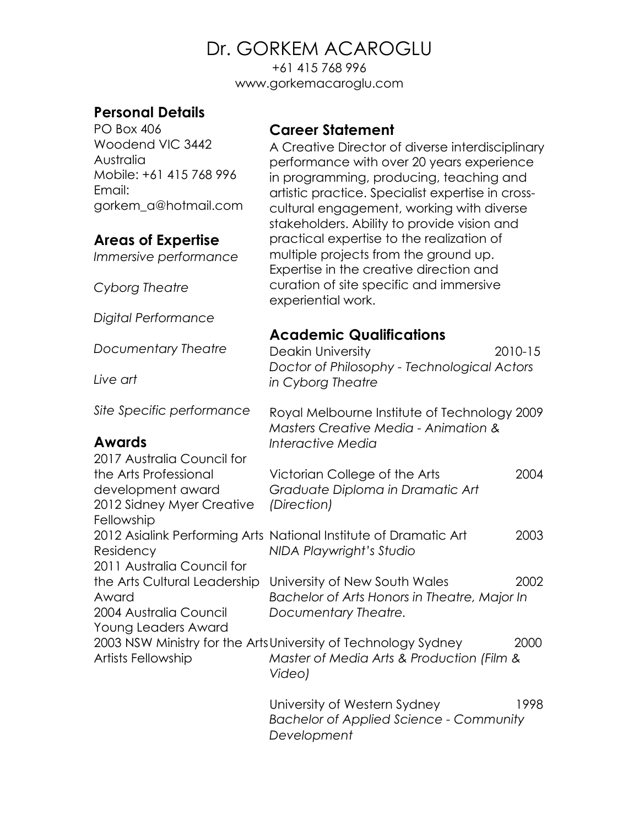+61 415 768 996 www.gorkemacaroglu.com

# **Personal Details**

PO Box 406 Woodend VIC 3442 Australia Mobile: +61 415 768 996 Email: gorkem\_a@hotmail.com

## **Areas of Expertise**

*Immersive performance*

*Cyborg Theatre*

*Digital Performance*

*Documentary Theatre*

*Live art*

*Site Specific performance*

### **Awards**

#### 2017 Australia Council for the Arts Professional development award 2012 Sidney Myer Creative Fellowship 2012 Asialink Performing Arts National Institute of Dramatic Art 2003 Residency 2011 Australia Council for the Arts Cultural Leadership Award 2004 Australia Council Young Leaders Award 2003 NSW Ministry for the Arts University of Technology Sydney 2000 Artists Fellowship *Interactive Media Graduate Diploma in Dramatic Art (Direction) NIDA Playwright's Studio Documentary Theatre. Master of Media Arts & Production (Film & Video)*

University of Western Sydney 1998 *Bachelor of Applied Science - Community Development*

### **Career Statement**

A Creative Director of diverse interdisciplinary performance with over 20 years experience in programming, producing, teaching and artistic practice. Specialist expertise in crosscultural engagement, working with diverse stakeholders. Ability to provide vision and practical expertise to the realization of multiple projects from the ground up. Expertise in the creative direction and curation of site specific and immersive experiential work.

### **Academic Qualifications**

Deakin University 2010-15 *Doctor of Philosophy - Technological Actors in Cyborg Theatre*

Royal Melbourne Institute of Technology 2009 *Masters Creative Media - Animation &* 

Victorian College of the Arts 2004

University of New South Wales 2002 *Bachelor of Arts Honors in Theatre, Major In*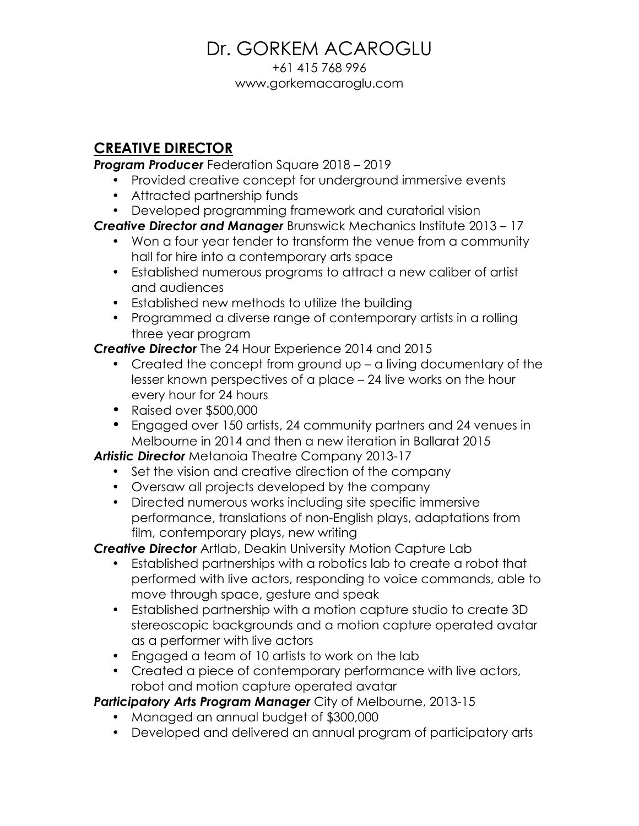+61 415 768 996 www.gorkemacaroglu.com

### **CREATIVE DIRECTOR**

*Program Producer* Federation Square 2018 – 2019

- Provided creative concept for underground immersive events
- Attracted partnership funds
- Developed programming framework and curatorial vision

*Creative Director and Manager* Brunswick Mechanics Institute 2013 – 17

- Won a four year tender to transform the venue from a community hall for hire into a contemporary arts space
- Established numerous programs to attract a new caliber of artist and audiences
- Established new methods to utilize the building
- Programmed a diverse range of contemporary artists in a rolling three year program

*Creative Director* The 24 Hour Experience 2014 and 2015

- Created the concept from ground up a living documentary of the lesser known perspectives of a place – 24 live works on the hour every hour for 24 hours
- Raised over \$500,000
- Engaged over 150 artists, 24 community partners and 24 venues in Melbourne in 2014 and then a new iteration in Ballarat 2015

*Artistic Director* Metanoia Theatre Company 2013-17

- Set the vision and creative direction of the company
- Oversaw all projects developed by the company
- Directed numerous works including site specific immersive performance, translations of non-English plays, adaptations from film, contemporary plays, new writing

*Creative Director* Artlab, Deakin University Motion Capture Lab

- Established partnerships with a robotics lab to create a robot that performed with live actors, responding to voice commands, able to move through space, gesture and speak
- Established partnership with a motion capture studio to create 3D stereoscopic backgrounds and a motion capture operated avatar as a performer with live actors
- Engaged a team of 10 artists to work on the lab
- Created a piece of contemporary performance with live actors, robot and motion capture operated avatar

*Participatory Arts Program Manager* City of Melbourne, 2013-15

- Managed an annual budget of \$300,000
- Developed and delivered an annual program of participatory arts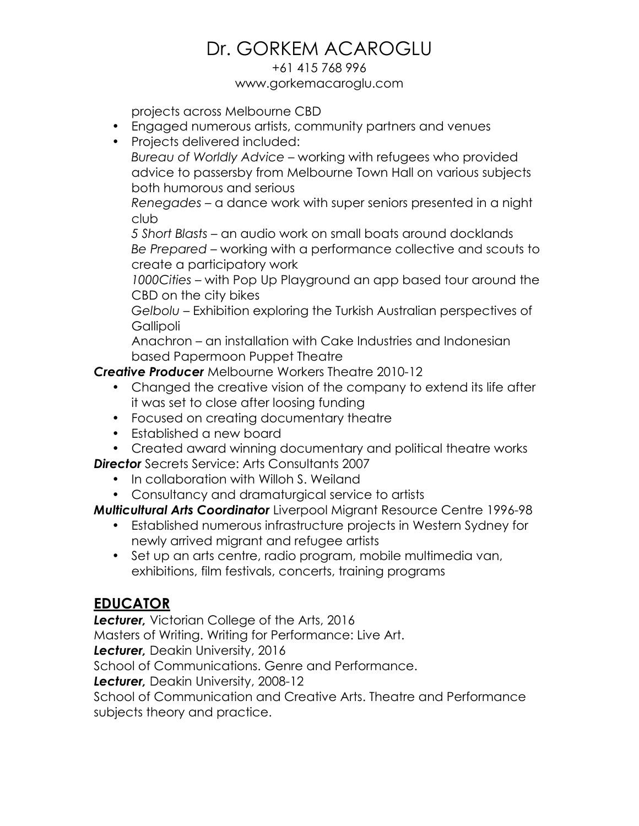#### +61 415 768 996 www.gorkemacaroglu.com

projects across Melbourne CBD

- Engaged numerous artists, community partners and venues
- Projects delivered included:

*Bureau of Worldly Advice* – working with refugees who provided advice to passersby from Melbourne Town Hall on various subjects both humorous and serious

*Renegades* – a dance work with super seniors presented in a night club

*5 Short Blasts* – an audio work on small boats around docklands *Be Prepared* – working with a performance collective and scouts to create a participatory work

*1000Cities* – with Pop Up Playground an app based tour around the CBD on the city bikes

*Gelbolu* – Exhibition exploring the Turkish Australian perspectives of **Gallipoli** 

Anachron – an installation with Cake Industries and Indonesian based Papermoon Puppet Theatre

*Creative Producer* Melbourne Workers Theatre 2010-12

- Changed the creative vision of the company to extend its life after it was set to close after loosing funding
- Focused on creating documentary theatre
- Established a new board
- Created award winning documentary and political theatre works

*Director* Secrets Service: Arts Consultants 2007

- In collaboration with Willoh S. Weiland
- Consultancy and dramaturgical service to artists

*Multicultural Arts Coordinator* Liverpool Migrant Resource Centre 1996-98

- Established numerous infrastructure projects in Western Sydney for newly arrived migrant and refugee artists
- Set up an arts centre, radio program, mobile multimedia van, exhibitions, film festivals, concerts, training programs

## **EDUCATOR**

*Lecturer,* Victorian College of the Arts, 2016

Masters of Writing. Writing for Performance: Live Art.

*Lecturer,* Deakin University, 2016

School of Communications. Genre and Performance.

*Lecturer,* Deakin University, 2008-12

School of Communication and Creative Arts. Theatre and Performance subjects theory and practice.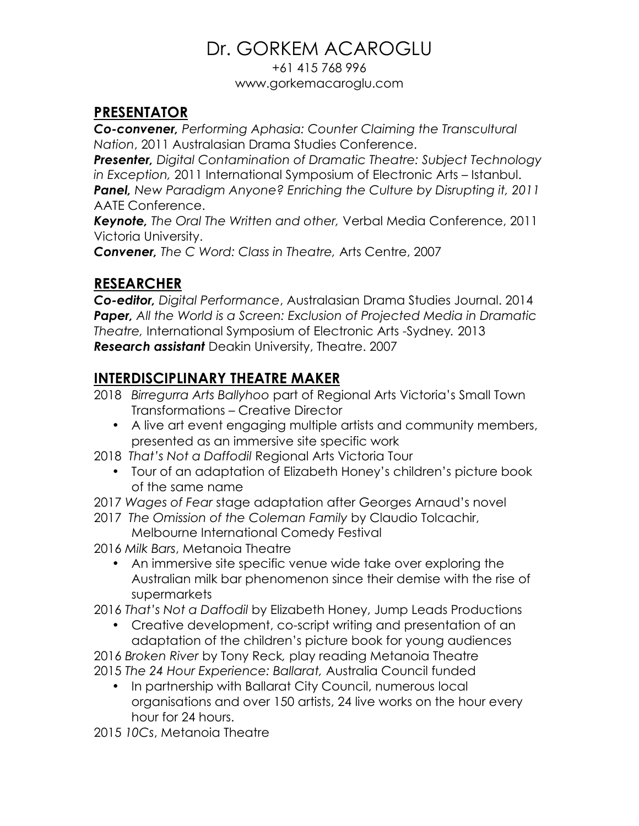+61 415 768 996 www.gorkemacaroglu.com

## **PRESENTATOR**

*Co-convener, Performing Aphasia: Counter Claiming the Transcultural Nation*, 2011 Australasian Drama Studies Conference.

*Presenter, Digital Contamination of Dramatic Theatre: Subject Technology in Exception,* 2011 International Symposium of Electronic Arts – Istanbul. *Panel, New Paradigm Anyone? Enriching the Culture by Disrupting it, 2011* AATE Conference.

*Keynote, The Oral The Written and other,* Verbal Media Conference, 2011 Victoria University.

*Convener, The C Word: Class in Theatre,* Arts Centre, 2007

# **RESEARCHER**

*Co-editor, Digital Performance*, Australasian Drama Studies Journal. 2014 *Paper, All the World is a Screen: Exclusion of Projected Media in Dramatic Theatre,* International Symposium of Electronic Arts -Sydney*.* 2013 *Research assistant* Deakin University, Theatre. 2007

## **INTERDISCIPLINARY THEATRE MAKER**

- 2018 *Birregurra Arts Ballyhoo* part of Regional Arts Victoria's Small Town Transformations – Creative Director
	- A live art event engaging multiple artists and community members, presented as an immersive site specific work
- 2018 *That's Not a Daffodil* Regional Arts Victoria Tour
	- Tour of an adaptation of Elizabeth Honey's children's picture book of the same name
- 2017 *Wages of Fear* stage adaptation after Georges Arnaud's novel
- 2017 *The Omission of the Coleman Family* by Claudio Tolcachir, Melbourne International Comedy Festival
- 2016 *Milk Bars*, Metanoia Theatre
	- An immersive site specific venue wide take over exploring the Australian milk bar phenomenon since their demise with the rise of supermarkets
- 2016 *That's Not a Daffodil* by Elizabeth Honey, Jump Leads Productions
	- Creative development, co-script writing and presentation of an adaptation of the children's picture book for young audiences

2016 *Broken River* by Tony Reck*,* play reading Metanoia Theatre 2015 *The 24 Hour Experience: Ballarat,* Australia Council funded

• In partnership with Ballarat City Council, numerous local organisations and over 150 artists, 24 live works on the hour every hour for 24 hours.

2015 *10Cs*, Metanoia Theatre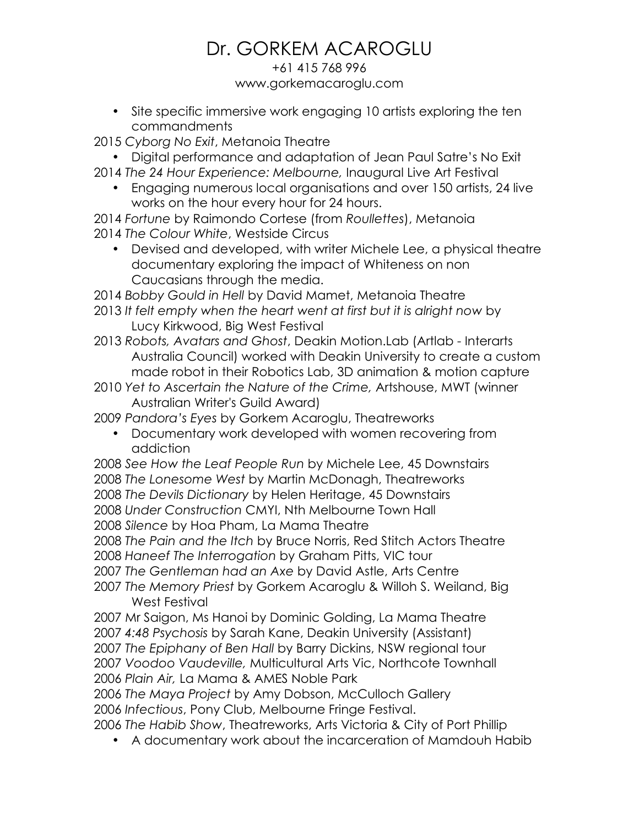### +61 415 768 996 www.gorkemacaroglu.com

• Site specific immersive work engaging 10 artists exploring the ten commandments

2015 *Cyborg No Exit*, Metanoia Theatre

- Digital performance and adaptation of Jean Paul Satre's No Exit
- 2014 *The 24 Hour Experience: Melbourne,* Inaugural Live Art Festival
	- Engaging numerous local organisations and over 150 artists, 24 live works on the hour every hour for 24 hours.

2014 *Fortune* by Raimondo Cortese (from *Roullettes*), Metanoia 2014 *The Colour White*, Westside Circus

• Devised and developed, with writer Michele Lee, a physical theatre documentary exploring the impact of Whiteness on non Caucasians through the media.

2014 *Bobby Gould in Hell* by David Mamet, Metanoia Theatre

- 2013 *It felt empty when the heart went at first but it is alright now* by Lucy Kirkwood, Big West Festival
- 2013 *Robots, Avatars and Ghost*, Deakin Motion.Lab (Artlab Interarts Australia Council) worked with Deakin University to create a custom made robot in their Robotics Lab, 3D animation & motion capture
- 2010 *Yet to Ascertain the Nature of the Crime,* Artshouse, MWT (winner Australian Writer's Guild Award)

2009 *Pandora's Eyes* by Gorkem Acaroglu, Theatreworks

• Documentary work developed with women recovering from addiction

*See How the Leaf People Run* by Michele Lee, 45 Downstairs *The Lonesome West* by Martin McDonagh, Theatreworks *The Devils Dictionary* by Helen Heritage, 45 Downstairs *Under Construction* CMYI, Nth Melbourne Town Hall *Silence* by Hoa Pham, La Mama Theatre

2008 *The Pain and the Itch* by Bruce Norris, Red Stitch Actors Theatre 2008 *Haneef The Interrogation* by Graham Pitts, VIC tour

2007 *The Gentleman had an Axe* by David Astle, Arts Centre

2007 *The Memory Priest* by Gorkem Acaroglu & Willoh S. Weiland, Big West Festival

2007 Mr Saigon, Ms Hanoi by Dominic Golding, La Mama Theatre *4:48 Psychosis* by Sarah Kane, Deakin University (Assistant) *The Epiphany of Ben Hall* by Barry Dickins, NSW regional tour *Voodoo Vaudeville,* Multicultural Arts Vic, Northcote Townhall *Plain Air,* La Mama & AMES Noble Park

2006 *The Maya Project* by Amy Dobson, McCulloch Gallery 2006 *Infectious*, Pony Club, Melbourne Fringe Festival.

2006 *The Habib Show*, Theatreworks, Arts Victoria & City of Port Phillip

• A documentary work about the incarceration of Mamdouh Habib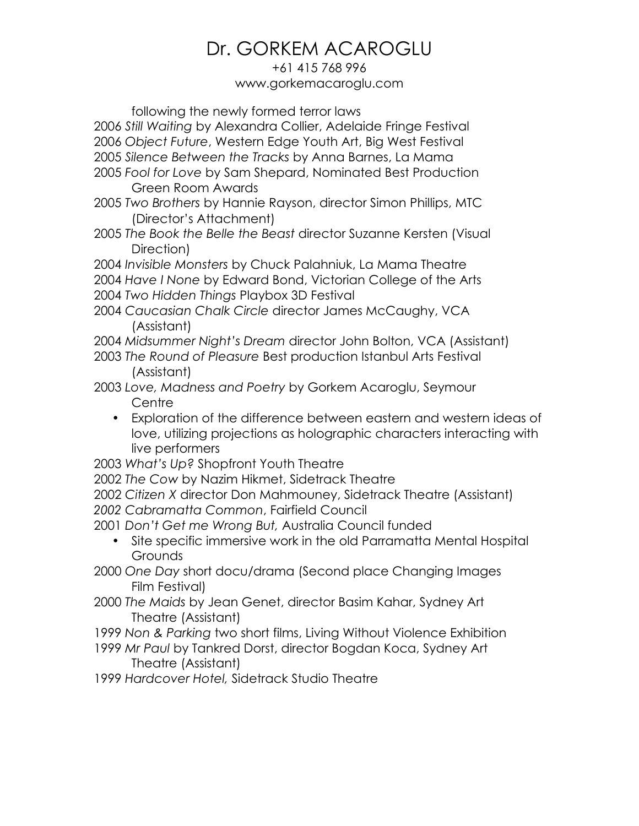#### +61 415 768 996 www.gorkemacaroglu.com

following the newly formed terror laws

- 2006 *Still Waiting* by Alexandra Collier, Adelaide Fringe Festival
- 2006 *Object Future*, Western Edge Youth Art, Big West Festival
- 2005 *Silence Between the Tracks* by Anna Barnes, La Mama
- 2005 *Fool for Love* by Sam Shepard, Nominated Best Production Green Room Awards
- 2005 *Two Brothers* by Hannie Rayson, director Simon Phillips, MTC (Director's Attachment)
- 2005 *The Book the Belle the Beast* director Suzanne Kersten (Visual Direction)

2004 *Invisible Monsters* by Chuck Palahniuk, La Mama Theatre 2004 *Have I None* by Edward Bond, Victorian College of the Arts

2004 *Two Hidden Things* Playbox 3D Festival

- 2004 *Caucasian Chalk Circle* director James McCaughy, VCA (Assistant)
- 2004 *Midsummer Night's Dream* director John Bolton, VCA (Assistant)
- 2003 *The Round of Pleasure* Best production Istanbul Arts Festival (Assistant)

2003 *Love, Madness and Poetry* by Gorkem Acaroglu, Seymour **Centre** 

• Exploration of the difference between eastern and western ideas of love, utilizing projections as holographic characters interacting with live performers

2003 *What's Up?* Shopfront Youth Theatre

- 2002 *The Cow* by Nazim Hikmet, Sidetrack Theatre
- 2002 *Citizen X* director Don Mahmouney, Sidetrack Theatre (Assistant) *2002 Cabramatta Common*, Fairfield Council

2001 *Don't Get me Wrong But,* Australia Council funded

- Site specific immersive work in the old Parramatta Mental Hospital **Grounds**
- 2000 *One Day* short docu/drama (Second place Changing Images Film Festival)
- 2000 *The Maids* by Jean Genet, director Basim Kahar, Sydney Art Theatre (Assistant)
- 1999 *Non & Parking* two short films, Living Without Violence Exhibition
- 1999 *Mr Paul* by Tankred Dorst, director Bogdan Koca, Sydney Art Theatre (Assistant)
- 1999 *Hardcover Hotel,* Sidetrack Studio Theatre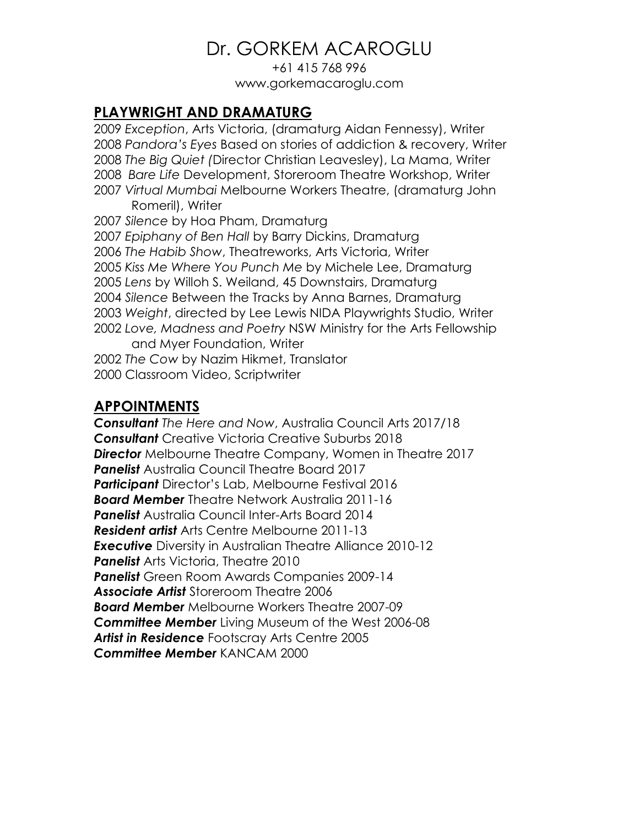+61 415 768 996 www.gorkemacaroglu.com

### **PLAYWRIGHT AND DRAMATURG**

*Exception*, Arts Victoria, (dramaturg Aidan Fennessy), Writer *Pandora's Eyes* Based on stories of addiction & recovery, Writer *The Big Quiet (*Director Christian Leavesley), La Mama, Writer *Bare Life* Development, Storeroom Theatre Workshop, Writer *Virtual Mumbai* Melbourne Workers Theatre, (dramaturg John Romeril), Writer *Silence* by Hoa Pham, Dramaturg *Epiphany of Ben Hall* by Barry Dickins, Dramaturg *The Habib Show*, Theatreworks, Arts Victoria, Writer *Kiss Me Where You Punch Me* by Michele Lee, Dramaturg *Lens* by Willoh S. Weiland, 45 Downstairs, Dramaturg *Silence* Between the Tracks by Anna Barnes, Dramaturg *Weight*, directed by Lee Lewis NIDA Playwrights Studio, Writer *Love, Madness and Poetry* NSW Ministry for the Arts Fellowship and Myer Foundation, Writer *The Cow* by Nazim Hikmet, Translator 2000 Classroom Video, Scriptwriter

### **APPOINTMENTS**

*Consultant The Here and Now*, Australia Council Arts 2017/18 *Consultant* Creative Victoria Creative Suburbs 2018 *Director* Melbourne Theatre Company, Women in Theatre 2017 *Panelist* Australia Council Theatre Board 2017 *Participant* Director's Lab, Melbourne Festival 2016 *Board Member* Theatre Network Australia 2011-16 *Panelist* Australia Council Inter-Arts Board 2014 *Resident artist* Arts Centre Melbourne 2011-13 *Executive* Diversity in Australian Theatre Alliance 2010-12 *Panelist* Arts Victoria, Theatre 2010 *Panelist* Green Room Awards Companies 2009-14 *Associate Artist* Storeroom Theatre 2006 *Board Member* Melbourne Workers Theatre 2007-09 *Committee Member* Living Museum of the West 2006-08 *Artist in Residence* Footscray Arts Centre 2005 *Committee Member* KANCAM 2000